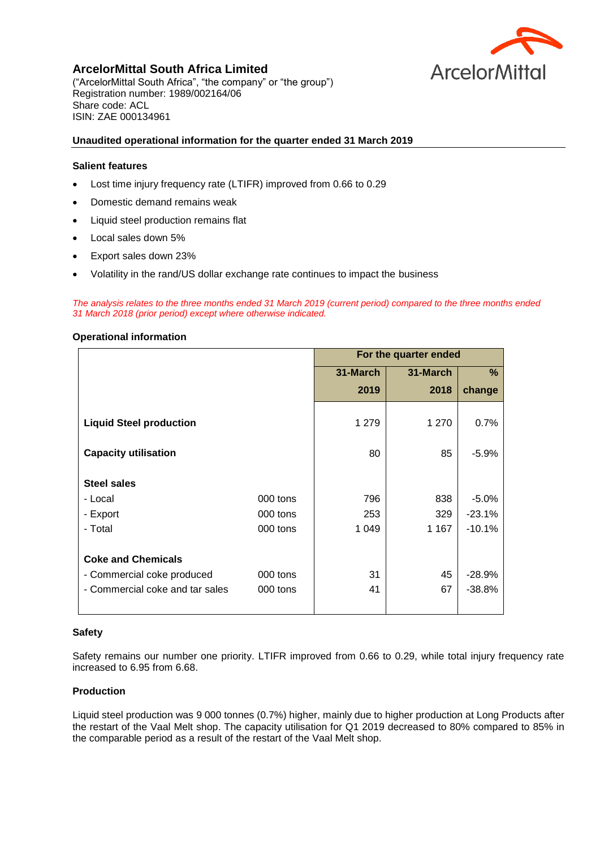

**ArcelorMittal South Africa Limited**  ("ArcelorMittal South Africa", "the company" or "the group") Registration number: 1989/002164/06 Share code: ACL ISIN: ZAE 000134961

# **Unaudited operational information for the quarter ended 31 March 2019**

## **Salient features**

- Lost time injury frequency rate (LTIFR) improved from 0.66 to 0.29
- Domestic demand remains weak
- Liquid steel production remains flat
- Local sales down 5%
- Export sales down 23%
- Volatility in the rand/US dollar exchange rate continues to impact the business

*The analysis relates to the three months ended 31 March 2019 (current period) compared to the three months ended 31 March 2018 (prior period) except where otherwise indicated.*

## **Operational information**

|                                 |          | For the quarter ended |          |          |
|---------------------------------|----------|-----------------------|----------|----------|
|                                 |          | 31-March              | 31-March | %        |
|                                 |          | 2019                  | 2018     | change   |
| <b>Liquid Steel production</b>  |          | 1 279                 | 1 270    | 0.7%     |
| <b>Capacity utilisation</b>     |          | 80                    | 85       | $-5.9%$  |
| <b>Steel sales</b>              |          |                       |          |          |
| - Local                         | 000 tons | 796                   | 838      | $-5.0%$  |
| - Export                        | 000 tons | 253                   | 329      | $-23.1%$ |
| - Total                         | 000 tons | 1 0 4 9               | 1 1 6 7  | $-10.1%$ |
| <b>Coke and Chemicals</b>       |          |                       |          |          |
| - Commercial coke produced      | 000 tons | 31                    | 45       | $-28.9%$ |
| - Commercial coke and tar sales | 000 tons | 41                    | 67       | $-38.8%$ |

#### **Safety**

Safety remains our number one priority. LTIFR improved from 0.66 to 0.29, while total injury frequency rate increased to 6.95 from 6.68.

## **Production**

Liquid steel production was 9 000 tonnes (0.7%) higher, mainly due to higher production at Long Products after the restart of the Vaal Melt shop. The capacity utilisation for Q1 2019 decreased to 80% compared to 85% in the comparable period as a result of the restart of the Vaal Melt shop.